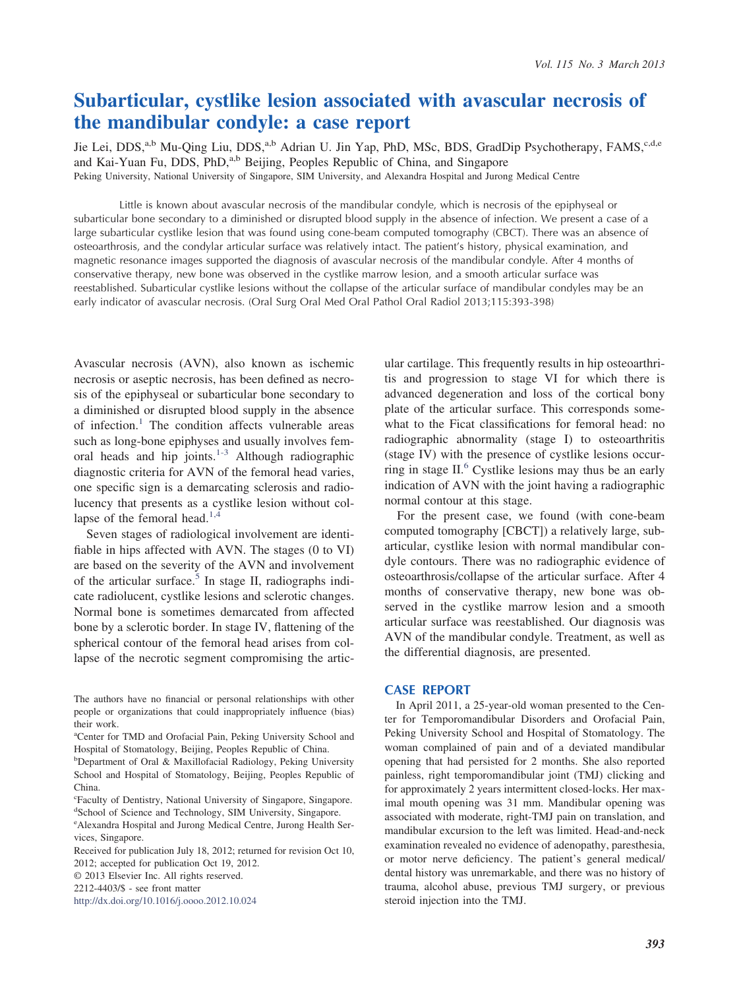# **Subarticular, cystlike lesion associated with avascular necrosis of the mandibular condyle: a case report**

Jie Lei, DDS,<sup>a,b</sup> Mu-Qing Liu, DDS,<sup>a,b</sup> Adrian U. Jin Yap, PhD, MSc, BDS, GradDip Psychotherapy, FAMS,<sup>c,d,e</sup> and Kai-Yuan Fu, DDS, PhD,<sup>a,b</sup> Beijing, Peoples Republic of China, and Singapore Peking University, National University of Singapore, SIM University, and Alexandra Hospital and Jurong Medical Centre

Little is known about avascular necrosis of the mandibular condyle, which is necrosis of the epiphyseal or subarticular bone secondary to a diminished or disrupted blood supply in the absence of infection. We present a case of a large subarticular cystlike lesion that was found using cone-beam computed tomography (CBCT). There was an absence of osteoarthrosis, and the condylar articular surface was relatively intact. The patient's history, physical examination, and magnetic resonance images supported the diagnosis of avascular necrosis of the mandibular condyle. After 4 months of conservative therapy, new bone was observed in the cystlike marrow lesion, and a smooth articular surface was reestablished. Subarticular cystlike lesions without the collapse of the articular surface of mandibular condyles may be an early indicator of avascular necrosis. (Oral Surg Oral Med Oral Pathol Oral Radiol 2013;115:393-398)

Avascular necrosis (AVN), also known as ischemic necrosis or aseptic necrosis, has been defined as necrosis of the epiphyseal or subarticular bone secondary to a diminished or disrupted blood supply in the absence of infection.<sup>1</sup> The condition affects vulnerable areas such as long-bone epiphyses and usually involves femoral heads and hip joints. $1-3$  Although radiographic diagnostic criteria for AVN of the femoral head varies, one specific sign is a demarcating sclerosis and radiolucency that presents as a cystlike lesion without collapse of the femoral head.<sup>1,4</sup>

Seven stages of radiological involvement are identifiable in hips affected with AVN. The stages (0 to VI) are based on the severity of the AVN and involvement of the articular surface.<sup>5</sup> In stage II, radiographs indicate radiolucent, cystlike lesions and sclerotic changes. Normal bone is sometimes demarcated from affected bone by a sclerotic border. In stage IV, flattening of the spherical contour of the femoral head arises from collapse of the necrotic segment compromising the artic-

<http://dx.doi.org/10.1016/j.oooo.2012.10.024>

ular cartilage. This frequently results in hip osteoarthritis and progression to stage VI for which there is advanced degeneration and loss of the cortical bony plate of the articular surface. This corresponds somewhat to the Ficat classifications for femoral head: no radiographic abnormality (stage I) to osteoarthritis (stage IV) with the presence of cystlike lesions occurring in stage  $II<sup>6</sup>$  Cystlike lesions may thus be an early indication of AVN with the joint having a radiographic normal contour at this stage.

For the present case, we found (with cone-beam computed tomography [CBCT]) a relatively large, subarticular, cystlike lesion with normal mandibular condyle contours. There was no radiographic evidence of osteoarthrosis/collapse of the articular surface. After 4 months of conservative therapy, new bone was observed in the cystlike marrow lesion and a smooth articular surface was reestablished. Our diagnosis was AVN of the mandibular condyle. Treatment, as well as the differential diagnosis, are presented.

### **CASE REPORT**

In April 2011, a 25-year-old woman presented to the Center for Temporomandibular Disorders and Orofacial Pain, Peking University School and Hospital of Stomatology. The woman complained of pain and of a deviated mandibular opening that had persisted for 2 months. She also reported painless, right temporomandibular joint (TMJ) clicking and for approximately 2 years intermittent closed-locks. Her maximal mouth opening was 31 mm. Mandibular opening was associated with moderate, right-TMJ pain on translation, and mandibular excursion to the left was limited. Head-and-neck examination revealed no evidence of adenopathy, paresthesia, or motor nerve deficiency. The patient's general medical/ dental history was unremarkable, and there was no history of trauma, alcohol abuse, previous TMJ surgery, or previous steroid injection into the TMJ.

The authors have no financial or personal relationships with other people or organizations that could inappropriately influence (bias) their work.

a Center for TMD and Orofacial Pain, Peking University School and Hospital of Stomatology, Beijing, Peoples Republic of China.

<sup>&</sup>lt;sup>b</sup>Department of Oral & Maxillofacial Radiology, Peking University School and Hospital of Stomatology, Beijing, Peoples Republic of China.

c Faculty of Dentistry, National University of Singapore, Singapore. <sup>d</sup>School of Science and Technology, SIM University, Singapore.

e Alexandra Hospital and Jurong Medical Centre, Jurong Health Services, Singapore.

Received for publication July 18, 2012; returned for revision Oct 10, 2012; accepted for publication Oct 19, 2012.

<sup>© 2013</sup> Elsevier Inc. All rights reserved.

<sup>2212-4403/\$ -</sup> see front matter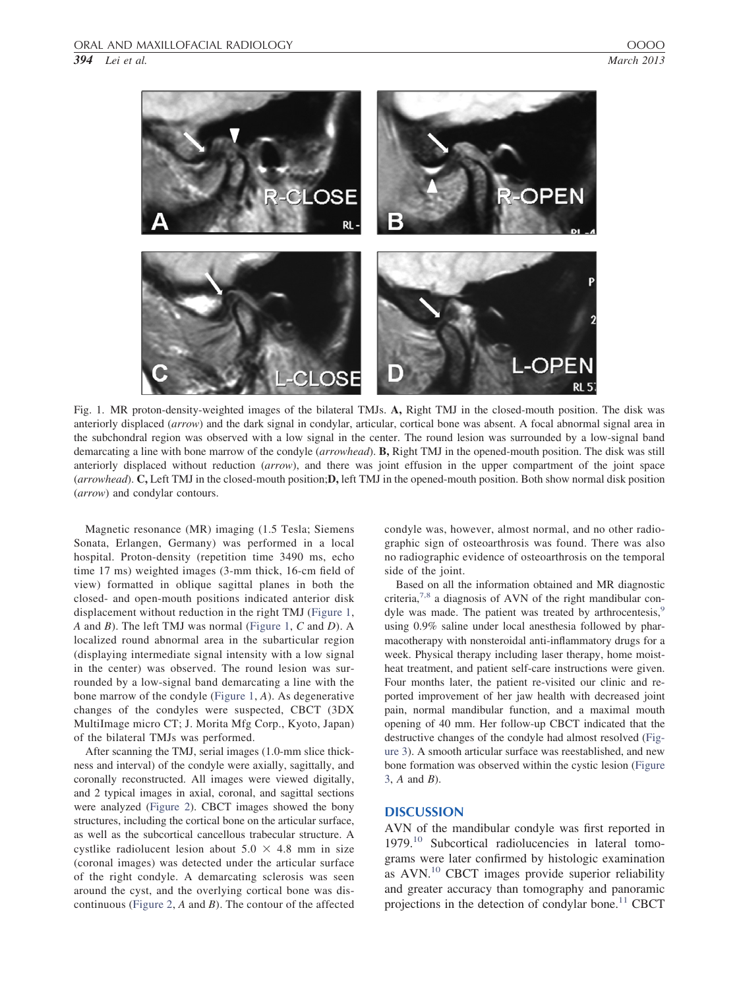

Fig. 1. MR proton-density-weighted images of the bilateral TMJs. **A,** Right TMJ in the closed-mouth position. The disk was anteriorly displaced (*arrow*) and the dark signal in condylar, articular, cortical bone was absent. A focal abnormal signal area in the subchondral region was observed with a low signal in the center. The round lesion was surrounded by a low-signal band demarcating a line with bone marrow of the condyle (*arrowhead*). **B,** Right TMJ in the opened-mouth position. The disk was still anteriorly displaced without reduction (*arrow*), and there was joint effusion in the upper compartment of the joint space (*arrowhead*). **C,** Left TMJ in the closed-mouth position;**D,** left TMJ in the opened-mouth position. Both show normal disk position (*arrow*) and condylar contours.

Magnetic resonance (MR) imaging (1.5 Tesla; Siemens Sonata, Erlangen, Germany) was performed in a local hospital. Proton-density (repetition time 3490 ms, echo time 17 ms) weighted images (3-mm thick, 16-cm field of view) formatted in oblique sagittal planes in both the closed- and open-mouth positions indicated anterior disk displacement without reduction in the right TMJ (Figure 1, *A* and *B*). The left TMJ was normal (Figure 1, *C* and *D*). A localized round abnormal area in the subarticular region (displaying intermediate signal intensity with a low signal in the center) was observed. The round lesion was surrounded by a low-signal band demarcating a line with the bone marrow of the condyle (Figure 1, *A*). As degenerative changes of the condyles were suspected, CBCT (3DX MultiImage micro CT; J. Morita Mfg Corp., Kyoto, Japan) of the bilateral TMJs was performed.

After scanning the TMJ, serial images (1.0-mm slice thickness and interval) of the condyle were axially, sagittally, and coronally reconstructed. All images were viewed digitally, and 2 typical images in axial, coronal, and sagittal sections were analyzed (Figure 2). CBCT images showed the bony structures, including the cortical bone on the articular surface, as well as the subcortical cancellous trabecular structure. A cystlike radiolucent lesion about  $5.0 \times 4.8$  mm in size (coronal images) was detected under the articular surface of the right condyle. A demarcating sclerosis was seen around the cyst, and the overlying cortical bone was discontinuous (Figure 2, *A* and *B*). The contour of the affected condyle was, however, almost normal, and no other radiographic sign of osteoarthrosis was found. There was also no radiographic evidence of osteoarthrosis on the temporal side of the joint.

Based on all the information obtained and MR diagnostic criteria,7,8 a diagnosis of AVN of the right mandibular condyle was made. The patient was treated by arthrocentesis, $9$ using 0.9% saline under local anesthesia followed by pharmacotherapy with nonsteroidal anti-inflammatory drugs for a week. Physical therapy including laser therapy, home moistheat treatment, and patient self-care instructions were given. Four months later, the patient re-visited our clinic and reported improvement of her jaw health with decreased joint pain, normal mandibular function, and a maximal mouth opening of 40 mm. Her follow-up CBCT indicated that the destructive changes of the condyle had almost resolved (Figure 3). A smooth articular surface was reestablished, and new bone formation was observed within the cystic lesion (Figure 3, *A* and *B*).

## **DISCUSSION**

AVN of the mandibular condyle was first reported in 1979.<sup>10</sup> Subcortical radiolucencies in lateral tomograms were later confirmed by histologic examination as AVN.<sup>10</sup> CBCT images provide superior reliability and greater accuracy than tomography and panoramic projections in the detection of condylar bone.<sup>11</sup> CBCT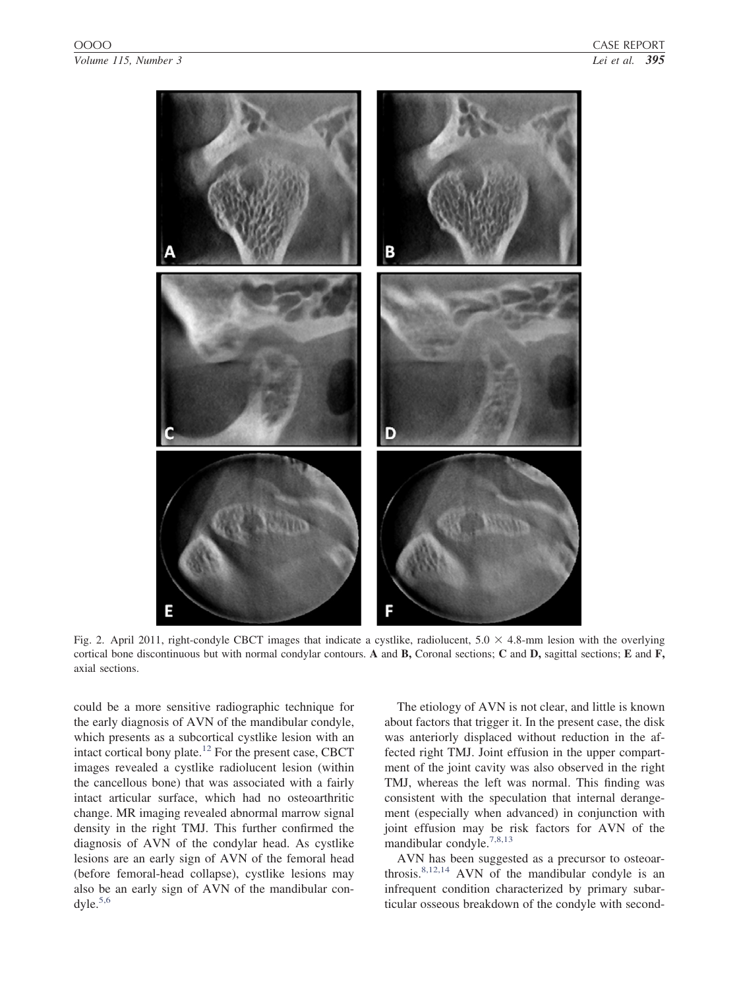

Fig. 2. April 2011, right-condyle CBCT images that indicate a cystlike, radiolucent,  $5.0 \times 4.8$ -mm lesion with the overlying cortical bone discontinuous but with normal condylar contours. **A** and **B,** Coronal sections; **C** and **D,** sagittal sections; **E** and **F,** axial sections.

could be a more sensitive radiographic technique for the early diagnosis of AVN of the mandibular condyle, which presents as a subcortical cystlike lesion with an intact cortical bony plate. $^{12}$  For the present case, CBCT images revealed a cystlike radiolucent lesion (within the cancellous bone) that was associated with a fairly intact articular surface, which had no osteoarthritic change. MR imaging revealed abnormal marrow signal density in the right TMJ. This further confirmed the diagnosis of AVN of the condylar head. As cystlike lesions are an early sign of AVN of the femoral head (before femoral-head collapse), cystlike lesions may also be an early sign of AVN of the mandibular con $dy$ le. $5,6$ 

The etiology of AVN is not clear, and little is known about factors that trigger it. In the present case, the disk was anteriorly displaced without reduction in the affected right TMJ. Joint effusion in the upper compartment of the joint cavity was also observed in the right TMJ, whereas the left was normal. This finding was consistent with the speculation that internal derangement (especially when advanced) in conjunction with joint effusion may be risk factors for AVN of the mandibular condyle.<sup>7,8,13</sup>

AVN has been suggested as a precursor to osteoarthrosis. $8,12,14$  AVN of the mandibular condyle is an infrequent condition characterized by primary subarticular osseous breakdown of the condyle with second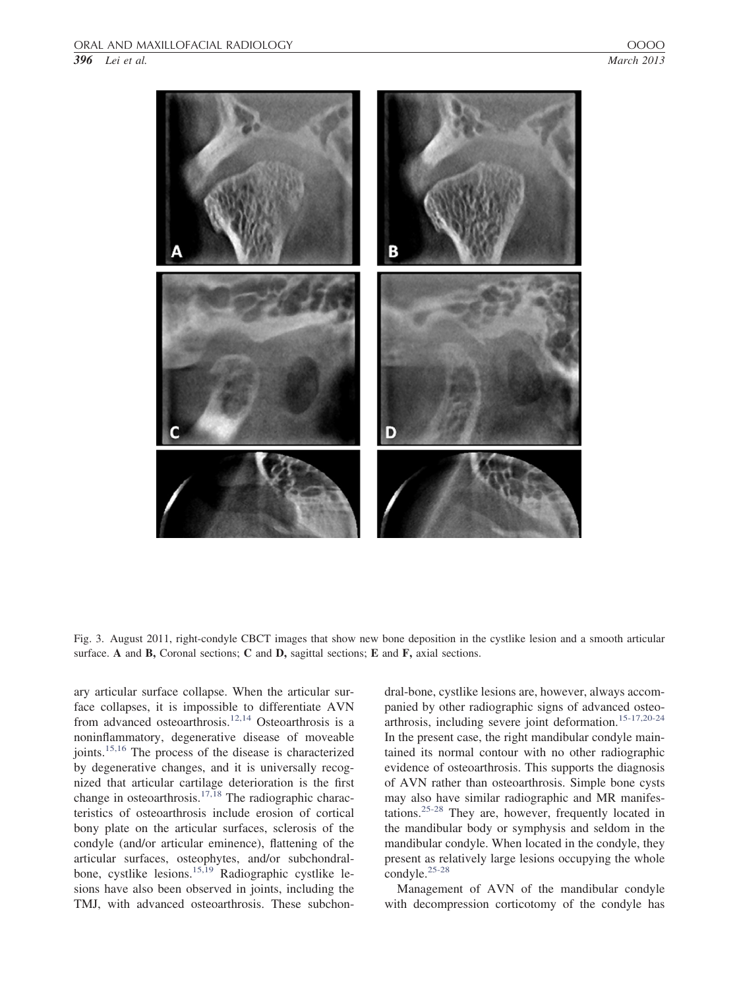*396 Lei et al. March 2013*

Fig. 3. August 2011, right-condyle CBCT images that show new bone deposition in the cystlike lesion and a smooth articular surface. **A** and **B,** Coronal sections; **C** and **D,** sagittal sections; **E** and **F,** axial sections.

ary articular surface collapse. When the articular surface collapses, it is impossible to differentiate AVN from advanced osteoarthrosis.12,14 Osteoarthrosis is a noninflammatory, degenerative disease of moveable joints.<sup>15,16</sup> The process of the disease is characterized by degenerative changes, and it is universally recognized that articular cartilage deterioration is the first change in osteoarthrosis.<sup>17,18</sup> The radiographic characteristics of osteoarthrosis include erosion of cortical bony plate on the articular surfaces, sclerosis of the condyle (and/or articular eminence), flattening of the articular surfaces, osteophytes, and/or subchondralbone, cystlike lesions.<sup>15,19</sup> Radiographic cystlike lesions have also been observed in joints, including the TMJ, with advanced osteoarthrosis. These subchondral-bone, cystlike lesions are, however, always accompanied by other radiographic signs of advanced osteoarthrosis, including severe joint deformation.15-17,20-24 In the present case, the right mandibular condyle maintained its normal contour with no other radiographic evidence of osteoarthrosis. This supports the diagnosis of AVN rather than osteoarthrosis. Simple bone cysts may also have similar radiographic and MR manifestations.25-28 They are, however, frequently located in the mandibular body or symphysis and seldom in the mandibular condyle. When located in the condyle, they present as relatively large lesions occupying the whole condyle.25-28

Management of AVN of the mandibular condyle with decompression corticotomy of the condyle has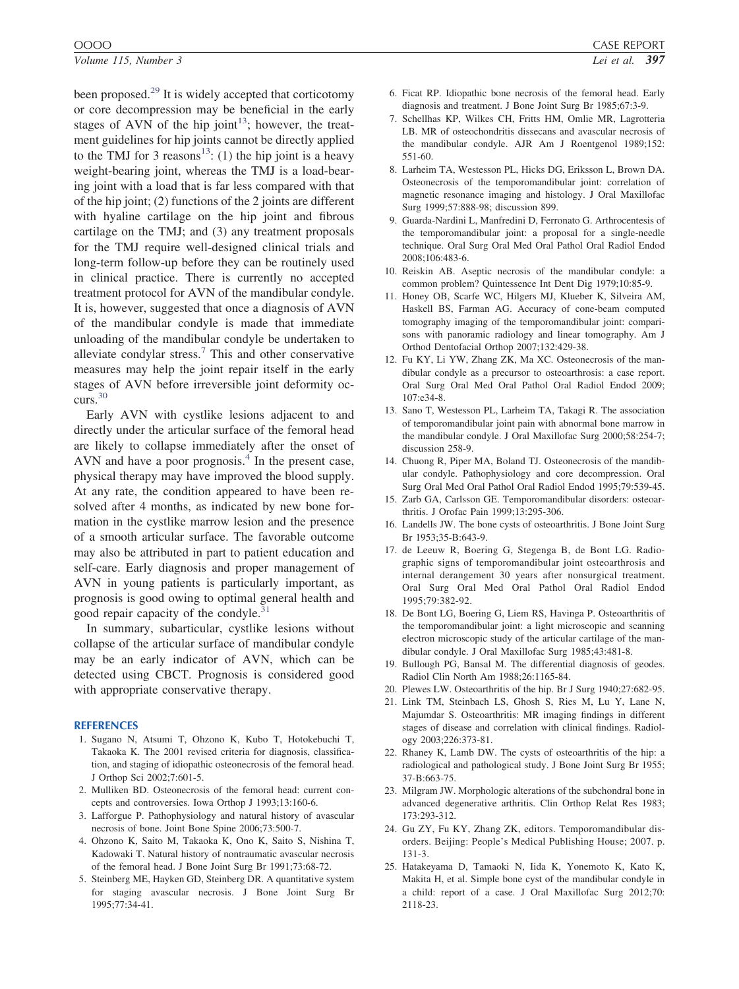been proposed. $^{29}$  It is widely accepted that corticotomy or core decompression may be beneficial in the early stages of AVN of the hip joint<sup>13</sup>; however, the treatment guidelines for hip joints cannot be directly applied to the TMJ for 3 reasons<sup>13</sup>: (1) the hip joint is a heavy weight-bearing joint, whereas the TMJ is a load-bearing joint with a load that is far less compared with that of the hip joint; (2) functions of the 2 joints are different with hyaline cartilage on the hip joint and fibrous cartilage on the TMJ; and (3) any treatment proposals for the TMJ require well-designed clinical trials and long-term follow-up before they can be routinely used in clinical practice. There is currently no accepted treatment protocol for AVN of the mandibular condyle. It is, however, suggested that once a diagnosis of AVN of the mandibular condyle is made that immediate unloading of the mandibular condyle be undertaken to alleviate condylar stress. $<sup>7</sup>$  This and other conservative</sup> measures may help the joint repair itself in the early stages of AVN before irreversible joint deformity occurs.<sup>30</sup>

Early AVN with cystlike lesions adjacent to and directly under the articular surface of the femoral head are likely to collapse immediately after the onset of AVN and have a poor prognosis. $4$  In the present case, physical therapy may have improved the blood supply. At any rate, the condition appeared to have been resolved after 4 months, as indicated by new bone formation in the cystlike marrow lesion and the presence of a smooth articular surface. The favorable outcome may also be attributed in part to patient education and self-care. Early diagnosis and proper management of AVN in young patients is particularly important, as prognosis is good owing to optimal general health and good repair capacity of the condyle. $31$ 

In summary, subarticular, cystlike lesions without collapse of the articular surface of mandibular condyle may be an early indicator of AVN, which can be detected using CBCT. Prognosis is considered good with appropriate conservative therapy.

#### **REFERENCES**

- 1. Sugano N, Atsumi T, Ohzono K, Kubo T, Hotokebuchi T, Takaoka K. The 2001 revised criteria for diagnosis, classification, and staging of idiopathic osteonecrosis of the femoral head. J Orthop Sci 2002;7:601-5.
- 2. Mulliken BD. Osteonecrosis of the femoral head: current concepts and controversies. Iowa Orthop J 1993;13:160-6.
- 3. Lafforgue P. Pathophysiology and natural history of avascular necrosis of bone. Joint Bone Spine 2006;73:500-7.
- 4. Ohzono K, Saito M, Takaoka K, Ono K, Saito S, Nishina T, Kadowaki T. Natural history of nontraumatic avascular necrosis of the femoral head. J Bone Joint Surg Br 1991;73:68-72.
- 5. Steinberg ME, Hayken GD, Steinberg DR. A quantitative system for staging avascular necrosis. J Bone Joint Surg Br 1995;77:34-41.
- 6. Ficat RP. Idiopathic bone necrosis of the femoral head. Early diagnosis and treatment. J Bone Joint Surg Br 1985;67:3-9.
- 7. Schellhas KP, Wilkes CH, Fritts HM, Omlie MR, Lagrotteria LB. MR of osteochondritis dissecans and avascular necrosis of the mandibular condyle. AJR Am J Roentgenol 1989;152: 551-60.
- 8. Larheim TA, Westesson PL, Hicks DG, Eriksson L, Brown DA. Osteonecrosis of the temporomandibular joint: correlation of magnetic resonance imaging and histology. J Oral Maxillofac Surg 1999;57:888-98; discussion 899.
- 9. Guarda-Nardini L, Manfredini D, Ferronato G. Arthrocentesis of the temporomandibular joint: a proposal for a single-needle technique. Oral Surg Oral Med Oral Pathol Oral Radiol Endod 2008;106:483-6.
- 10. Reiskin AB. Aseptic necrosis of the mandibular condyle: a common problem? Quintessence Int Dent Dig 1979;10:85-9.
- 11. Honey OB, Scarfe WC, Hilgers MJ, Klueber K, Silveira AM, Haskell BS, Farman AG. Accuracy of cone-beam computed tomography imaging of the temporomandibular joint: comparisons with panoramic radiology and linear tomography. Am J Orthod Dentofacial Orthop 2007;132:429-38.
- 12. Fu KY, Li YW, Zhang ZK, Ma XC. Osteonecrosis of the mandibular condyle as a precursor to osteoarthrosis: a case report. Oral Surg Oral Med Oral Pathol Oral Radiol Endod 2009; 107:e34-8.
- 13. Sano T, Westesson PL, Larheim TA, Takagi R. The association of temporomandibular joint pain with abnormal bone marrow in the mandibular condyle. J Oral Maxillofac Surg 2000;58:254-7; discussion 258-9.
- 14. Chuong R, Piper MA, Boland TJ. Osteonecrosis of the mandibular condyle. Pathophysiology and core decompression. Oral Surg Oral Med Oral Pathol Oral Radiol Endod 1995;79:539-45.
- 15. Zarb GA, Carlsson GE. Temporomandibular disorders: osteoarthritis. J Orofac Pain 1999;13:295-306.
- 16. Landells JW. The bone cysts of osteoarthritis. J Bone Joint Surg Br 1953;35-B:643-9.
- 17. de Leeuw R, Boering G, Stegenga B, de Bont LG. Radiographic signs of temporomandibular joint osteoarthrosis and internal derangement 30 years after nonsurgical treatment. Oral Surg Oral Med Oral Pathol Oral Radiol Endod 1995;79:382-92.
- 18. De Bont LG, Boering G, Liem RS, Havinga P. Osteoarthritis of the temporomandibular joint: a light microscopic and scanning electron microscopic study of the articular cartilage of the mandibular condyle. J Oral Maxillofac Surg 1985;43:481-8.
- 19. Bullough PG, Bansal M. The differential diagnosis of geodes. Radiol Clin North Am 1988;26:1165-84.
- 20. Plewes LW. Osteoarthritis of the hip. Br J Surg 1940;27:682-95.
- 21. Link TM, Steinbach LS, Ghosh S, Ries M, Lu Y, Lane N, Majumdar S. Osteoarthritis: MR imaging findings in different stages of disease and correlation with clinical findings. Radiology 2003;226:373-81.
- 22. Rhaney K, Lamb DW. The cysts of osteoarthritis of the hip: a radiological and pathological study. J Bone Joint Surg Br 1955; 37-B:663-75.
- 23. Milgram JW. Morphologic alterations of the subchondral bone in advanced degenerative arthritis. Clin Orthop Relat Res 1983; 173:293-312.
- 24. Gu ZY, Fu KY, Zhang ZK, editors. Temporomandibular disorders. Beijing: People's Medical Publishing House; 2007. p. 131-3.
- 25. Hatakeyama D, Tamaoki N, Iida K, Yonemoto K, Kato K, Makita H, et al. Simple bone cyst of the mandibular condyle in a child: report of a case. J Oral Maxillofac Surg 2012;70: 2118-23.